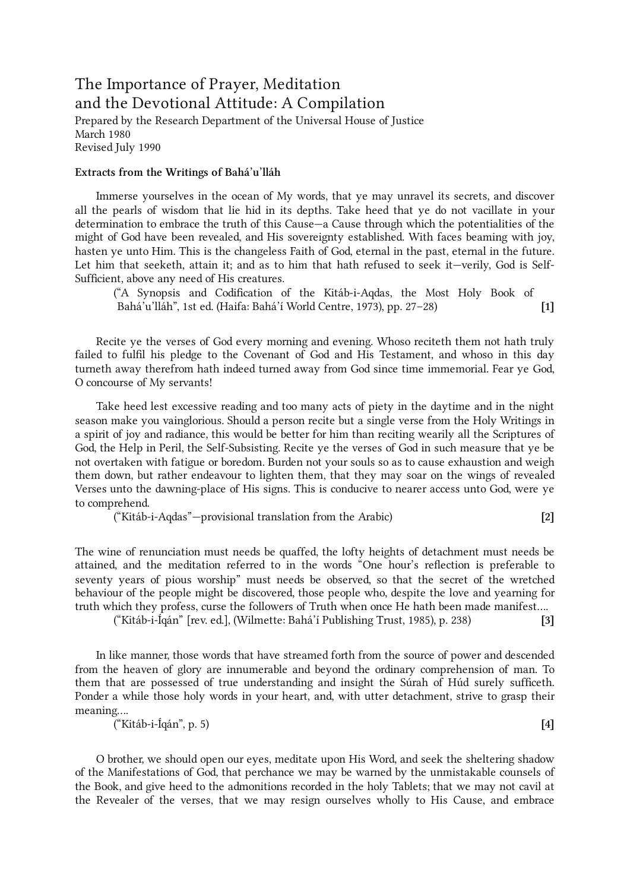# The Importance of Prayer, Meditation and the Devotional Attitude: A Compilation

Prepared by the Research Department of the Universal House of Justice March 1980 Revised July 1990

## Extracts from the Writings of Bahá'u'lláh

Immerse yourselves in the ocean of My words, that ye may unravel its secrets, and discover all the pearls of wisdom that lie hid in its depths. Take heed that ye do not vacillate in your determination to embrace the truth of this Cause—a Cause through which the potentialities of the might of God have been revealed, and His sovereignty established. With faces beaming with joy, hasten ye unto Him. This is the changeless Faith of God, eternal in the past, eternal in the future. Let him that seeketh, attain it; and as to him that hath refused to seek it—verily, God is Self-Sufficient, above any need of His creatures.

("A Synopsis and Codification of the Kitáb-i-Aqdas, the Most Holy Book of Bahá'u'lláh", 1st ed. (Haifa: Bahá'í World Centre, 1973), pp. 27–28) [1]

Recite ye the verses of God every morning and evening. Whoso reciteth them not hath truly failed to fulfil his pledge to the Covenant of God and His Testament, and whoso in this day turneth away therefrom hath indeed turned away from God since time immemorial. Fear ye God, O concourse of My servants!

Take heed lest excessive reading and too many acts of piety in the daytime and in the night season make you vainglorious. Should a person recite but a single verse from the Holy Writings in a spirit of joy and radiance, this would be better for him than reciting wearily all the Scriptures of God, the Help in Peril, the Self-Subsisting. Recite ye the verses of God in such measure that ye be not overtaken with fatigue or boredom. Burden not your souls so as to cause exhaustion and weigh them down, but rather endeavour to lighten them, that they may soar on the wings of revealed Verses unto the dawning-place of His signs. This is conducive to nearer access unto God, were ye to comprehend.

("Kitáb-i-Aqdas"—provisional translation from the Arabic) [2]

The wine of renunciation must needs be quaffed, the lofty heights of detachment must needs be attained, and the meditation referred to in the words "One hour's reflection is preferable to seventy years of pious worship" must needs be observed, so that the secret of the wretched behaviour of the people might be discovered, those people who, despite the love and yearning for truth which they profess, curse the followers of Truth when once He hath been made manifest....

("Kitáb-i-Íqán" [rev. ed.], (Wilmette: Bahá'í Publishing Trust, 1985), p. 238) [3]

In like manner, those words that have streamed forth from the source of power and descended from the heaven of glory are innumerable and beyond the ordinary comprehension of man. To them that are possessed of true understanding and insight the Súrah of Húd surely sufficeth. Ponder a while those holy words in your heart, and, with utter detachment, strive to grasp their meaning....

("Kitáb-i-Íqán", p. 5) [4]

O brother, we should open our eyes, meditate upon His Word, and seek the sheltering shadow of the Manifestations of God, that perchance we may be warned by the unmistakable counsels of the Book, and give heed to the admonitions recorded in the holy Tablets; that we may not cavil at the Revealer of the verses, that we may resign ourselves wholly to His Cause, and embrace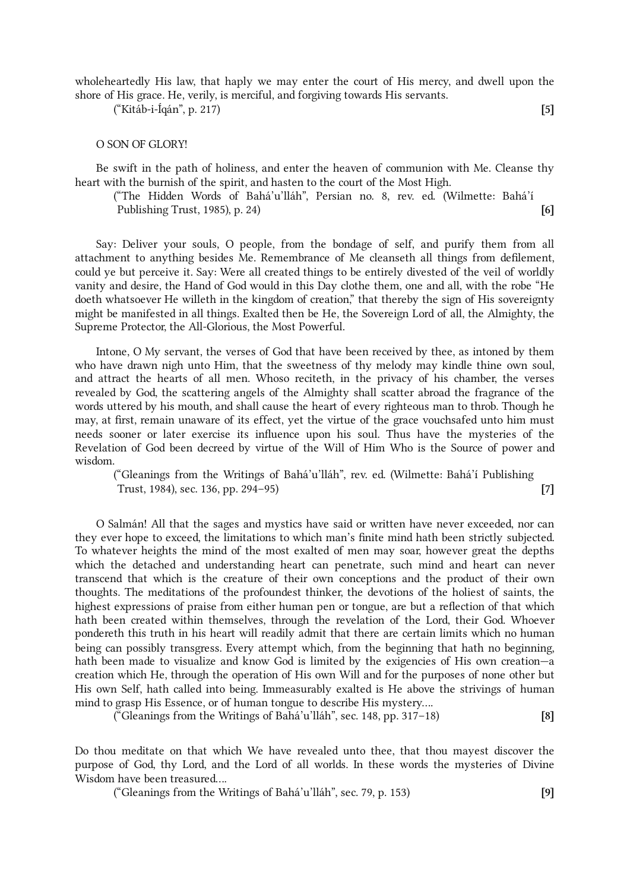wholeheartedly His law, that haply we may enter the court of His mercy, and dwell upon the shore of His grace. He, verily, is merciful, and forgiving towards His servants.

("Kitáb-i-Íqán", p. 217) [5]

#### O SON OF GLORY!

Be swift in the path of holiness, and enter the heaven of communion with Me. Cleanse thy heart with the burnish of the spirit, and hasten to the court of the Most High.

("The Hidden Words of Bahá'u'lláh", Persian no. 8, rev. ed. (Wilmette: Bahá'í Publishing Trust, 1985), p. 24)  $[6]$ 

Say: Deliver your souls, O people, from the bondage of self, and purify them from all attachment to anything besides Me. Remembrance of Me cleanseth all things from defilement, could ye but perceive it. Say: Were all created things to be entirely divested of the veil of worldly vanity and desire, the Hand of God would in this Day clothe them, one and all, with the robe "He doeth whatsoever He willeth in the kingdom of creation," that thereby the sign of His sovereignty might be manifested in all things. Exalted then be He, the Sovereign Lord of all, the Almighty, the Supreme Protector, the All-Glorious, the Most Powerful.

Intone, O My servant, the verses of God that have been received by thee, as intoned by them who have drawn nigh unto Him, that the sweetness of thy melody may kindle thine own soul, and attract the hearts of all men. Whoso reciteth, in the privacy of his chamber, the verses revealed by God, the scattering angels of the Almighty shall scatter abroad the fragrance of the words uttered by his mouth, and shall cause the heart of every righteous man to throb. Though he may, at first, remain unaware of its effect, yet the virtue of the grace vouchsafed unto him must needs sooner or later exercise its influence upon his soul. Thus have the mysteries of the Revelation of God been decreed by virtue of the Will of Him Who is the Source of power and wisdom.

("Gleanings from the Writings of Bahá'u'lláh", rev. ed. (Wilmette: Bahá'í Publishing Trust, 1984), sec. 136, pp. 294–95) [7]

O Salmán! All that the sages and mystics have said or written have never exceeded, nor can they ever hope to exceed, the limitations to which man's finite mind hath been strictly subjected. To whatever heights the mind of the most exalted of men may soar, however great the depths which the detached and understanding heart can penetrate, such mind and heart can never transcend that which is the creature of their own conceptions and the product of their own thoughts. The meditations of the profoundest thinker, the devotions of the holiest of saints, the highest expressions of praise from either human pen or tongue, are but a reflection of that which hath been created within themselves, through the revelation of the Lord, their God. Whoever pondereth this truth in his heart will readily admit that there are certain limits which no human being can possibly transgress. Every attempt which, from the beginning that hath no beginning, hath been made to visualize and know God is limited by the exigencies of His own creation-a creation which He, through the operation of His own Will and for the purposes of none other but His own Self, hath called into being. Immeasurably exalted is He above the strivings of human mind to grasp His Essence, or of human tongue to describe His mystery....

 $\left(\text{``Gleanings from the Writings of Baha'u'lláh''}, \text{sec. 148, pp. 317–18}\right)$  [8]

Do thou meditate on that which We have revealed unto thee, that thou mayest discover the purpose of God, thy Lord, and the Lord of all worlds. In these words the mysteries of Divine Wisdom have been treasured....

("Gleanings from the Writings of Bahá'u'lláh", sec. 79, p. 153) [9]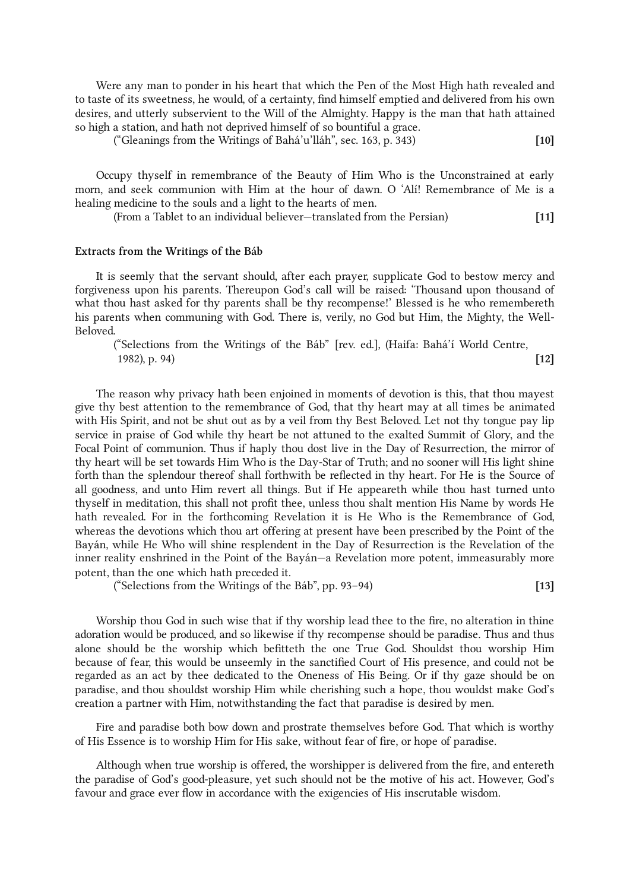Were any man to ponder in his heart that which the Pen of the Most High hath revealed and to taste of its sweetness, he would, of a certainty, find himself emptied and delivered from his own desires, and utterly subservient to the Will of the Almighty. Happy is the man that hath attained so high a station, and hath not deprived himself of so bountiful a grace.

("Gleanings from the Writings of Bahá'u'lláh", sec. 163, p. 343) [10]

Occupy thyself in remembrance of the Beauty of Him Who is the Unconstrained at early morn, and seek communion with Him at the hour of dawn. O 'Alí! Remembrance of Me is a healing medicine to the souls and a light to the hearts of men.

(From a Tablet to an individual believer—translated from the Persian) [11]

## Extracts from the Writings of the Báb

It is seemly that the servant should, after each prayer, supplicate God to bestow mercy and forgiveness upon his parents. Thereupon God's call will be raised: 'Thousand upon thousand of what thou hast asked for thy parents shall be thy recompense!' Blessed is he who remembereth his parents when communing with God. There is, verily, no God but Him, the Mighty, the Well-Beloved.

("Selections from the Writings of the Báb" [rev. ed.], (Haifa: Bahá'í World Centre, 1982), p. 94) [12]

The reason why privacy hath been enjoined in moments of devotion is this, that thou mayest give thy best attention to the remembrance of God, that thy heart may at all times be animated with His Spirit, and not be shut out as by a veil from thy Best Beloved. Let not thy tongue pay lip service in praise of God while thy heart be not attuned to the exalted Summit of Glory, and the Focal Point of communion. Thus if haply thou dost live in the Day of Resurrection, the mirror of thy heart will be set towards Him Who is the Day-Star of Truth; and no sooner will His light shine forth than the splendour thereof shall forthwith be reflected in thy heart. For He is the Source of all goodness, and unto Him revert all things. But if He appeareth while thou hast turned unto thyself in meditation, this shall not profit thee, unless thou shalt mention His Name by words He hath revealed. For in the forthcoming Revelation it is He Who is the Remembrance of God, whereas the devotions which thou art offering at present have been prescribed by the Point of the Bayán, while He Who will shine resplendent in the Day of Resurrection is the Revelation of the inner reality enshrined in the Point of the Bayán—a Revelation more potent, immeasurably more potent, than the one which hath preceded it.

("Selections from the Writings of the Báb", pp. 93–94) [13]

Worship thou God in such wise that if thy worship lead thee to the fire, no alteration in thine adoration would be produced, and so likewise if thy recompense should be paradise. Thus and thus alone should be the worship which befitteth the one True God. Shouldst thou worship Him because of fear, this would be unseemly in the sanctified Court of His presence, and could not be regarded as an act by thee dedicated to the Oneness of His Being. Or if thy gaze should be on paradise, and thou shouldst worship Him while cherishing such a hope, thou wouldst make God's creation a partner with Him, notwithstanding the fact that paradise is desired by men.

Fire and paradise both bow down and prostrate themselves before God. That which is worthy of His Essence is to worship Him for His sake, without fear of fire, or hope of paradise.

Although when true worship is offered, the worshipper is delivered from the fire, and entereth the paradise of God's good-pleasure, yet such should not be the motive of his act. However, God's favour and grace ever flow in accordance with the exigencies of His inscrutable wisdom.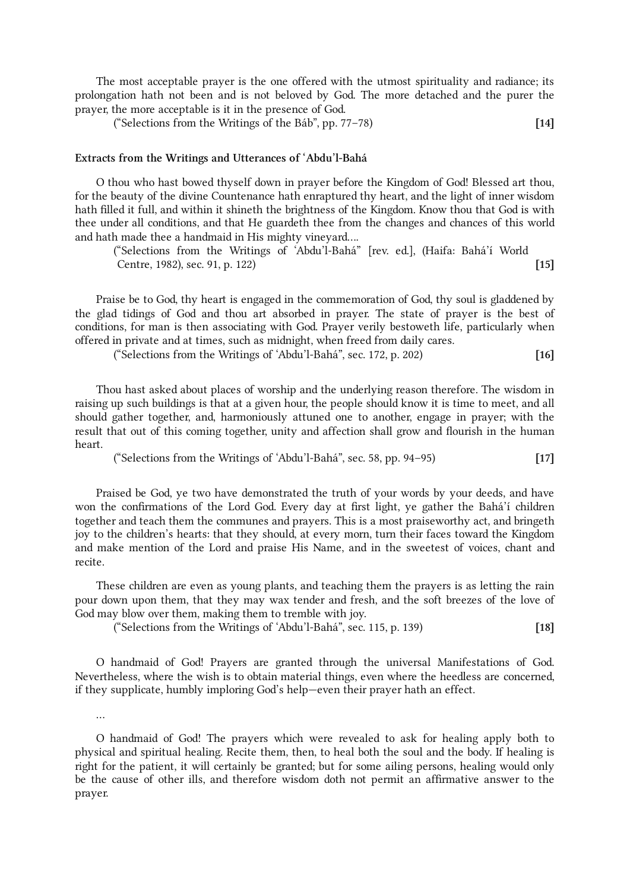The most acceptable prayer is the one offered with the utmost spirituality and radiance; its prolongation hath not been and is not beloved by God. The more detached and the purer the prayer, the more acceptable is it in the presence of God.

("Selections from the Writings of the Báb", pp.  $77-78$ ) [14]

# Extracts from the Writings and Utterances of 'Abdu'l-Bahá

O thou who hast bowed thyself down in prayer before the Kingdom of God! Blessed art thou, for the beauty of the divine Countenance hath enraptured thy heart, and the light of inner wisdom hath filled it full, and within it shineth the brightness of the Kingdom. Know thou that God is with thee under all conditions, and that He guardeth thee from the changes and chances of this world and hath made thee a handmaid in His mighty vineyard....

("Selections from the Writings of 'Abdu'l-Bahá" [rev. ed.], (Haifa: Bahá'í World Centre, 1982), sec. 91, p. 122) [15]

Praise be to God, thy heart is engaged in the commemoration of God, thy soul is gladdened by the glad tidings of God and thou art absorbed in prayer. The state of prayer is the best of conditions, for man is then associating with God. Prayer verily bestoweth life, particularly when offered in private and at times, such as midnight, when freed from daily cares.

("Selections from the Writings of 'Abdu'l-Bahá", sec. 172, p. 202)  $[16]$ 

Thou hast asked about places of worship and the underlying reason therefore. The wisdom in raising up such buildings is that at a given hour, the people should know it is time to meet, and all should gather together, and, harmoniously attuned one to another, engage in prayer; with the result that out of this coming together, unity and affection shall grow and flourish in the human heart.

("Selections from the Writings of 'Abdu'l-Bahá", sec. 58, pp. 94–95) [17]

Praised be God, ye two have demonstrated the truth of your words by your deeds, and have won the confirmations of the Lord God. Every day at first light, ye gather the Bahá'í children together and teach them the communes and prayers. This is a most praiseworthy act, and bringeth joy to the children's hearts: that they should, at every morn, turn their faces toward the Kingdom and make mention of the Lord and praise His Name, and in the sweetest of voices, chant and recite.

These children are even as young plants, and teaching them the prayers is as letting the rain pour down upon them, that they may wax tender and fresh, and the soft breezes of the love of God may blow over them, making them to tremble with joy.

("Selections from the Writings of 'Abdu'l-Bahá", sec. 115, p. 139) [18]

O handmaid of God! Prayers are granted through the universal Manifestations of God. Nevertheless, where the wish is to obtain material things, even where the heedless are concerned, if they supplicate, humbly imploring God's help—even their prayer hath an effect.

…

O handmaid of God! The prayers which were revealed to ask for healing apply both to physical and spiritual healing. Recite them, then, to heal both the soul and the body. If healing is right for the patient, it will certainly be granted; but for some ailing persons, healing would only be the cause of other ills, and therefore wisdom doth not permit an affirmative answer to the prayer.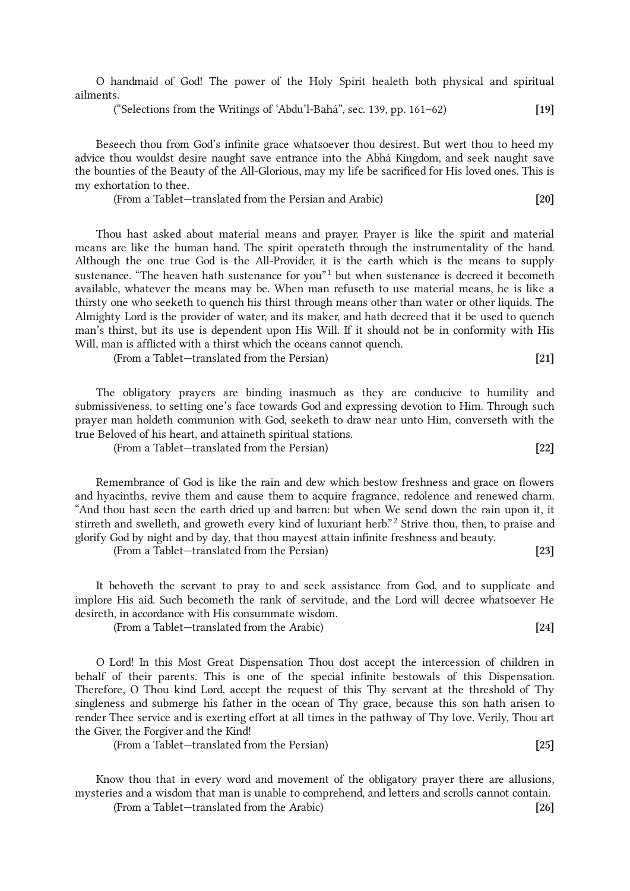O handmaid of God! The power of the Holy Spirit healeth both physical and spiritual ailments.

("Selections from the Writings of 'Abdu'l-Bahá", sec. 139, pp. 161–62) [19]

Beseech thou from God's infinite grace whatsoever thou desirest. But wert thou to heed my advice thou wouldst desire naught save entrance into the Abhá Kingdom, and seek naught save the bounties of the Beauty of the All-Glorious, may my life be sacrificed for His loved ones. This is my exhortation to thee.

(From a Tablet—translated from the Persian and Arabic) [20]

<span id="page-4-0"></span>Thou hast asked about material means and prayer. Prayer is like the spirit and material means are like the human hand. The spirit operateth through the instrumentality of the hand. Although the one true God is the All-Provider, it is the earth which is the means to supply sustenance. "The heaven hath sustenance for you"<sup>[1](#page-12-0)</sup> but when sustenance is decreed it becometh available, whatever the means may be. When man refuseth to use material means, he is like a thirsty one who seeketh to quench his thirst through means other than water or other liquids. The Almighty Lord is the provider of water, and its maker, and hath decreed that it be used to quench man's thirst, but its use is dependent upon His Will. If it should not be in conformity with His Will, man is afflicted with a thirst which the oceans cannot quench.

(From a Tablet—translated from the Persian) [21]

The obligatory prayers are binding inasmuch as they are conducive to humility and submissiveness, to setting one's face towards God and expressing devotion to Him. Through such prayer man holdeth communion with God, seeketh to draw near unto Him, converseth with the true Beloved of his heart, and attaineth spiritual stations.

(From a Tablet—translated from the Persian) [22]

<span id="page-4-1"></span>Remembrance of God is like the rain and dew which bestow freshness and grace on flowers and hyacinths, revive them and cause them to acquire fragrance, redolence and renewed charm. "And thou hast seen the earth dried up and barren: but when We send down the rain upon it, it stirreth and swelleth, and groweth every kind of luxuriant herb."<sup>[2](#page-12-1)</sup> Strive thou, then, to praise and glorify God by night and by day, that thou mayest attain infinite freshness and beauty.

(From a Tablet—translated from the Persian) [23]

It behoveth the servant to pray to and seek assistance from God, and to supplicate and implore His aid. Such becometh the rank of servitude, and the Lord will decree whatsoever He desireth, in accordance with His consummate wisdom.

(From a Tablet—translated from the Arabic) [24]

O Lord! In this Most Great Dispensation Thou dost accept the intercession of children in behalf of their parents. This is one of the special infinite bestowals of this Dispensation. Therefore, O Thou kind Lord, accept the request of this Thy servant at the threshold of Thy singleness and submerge his father in the ocean of Thy grace, because this son hath arisen to render Thee service and is exerting effort at all times in the pathway of Thy love. Verily, Thou art the Giver, the Forgiver and the Kind!

(From a Tablet—translated from the Persian) [25]

Know thou that in every word and movement of the obligatory prayer there are allusions, mysteries and a wisdom that man is unable to comprehend, and letters and scrolls cannot contain.

(From a Tablet—translated from the Arabic) [26]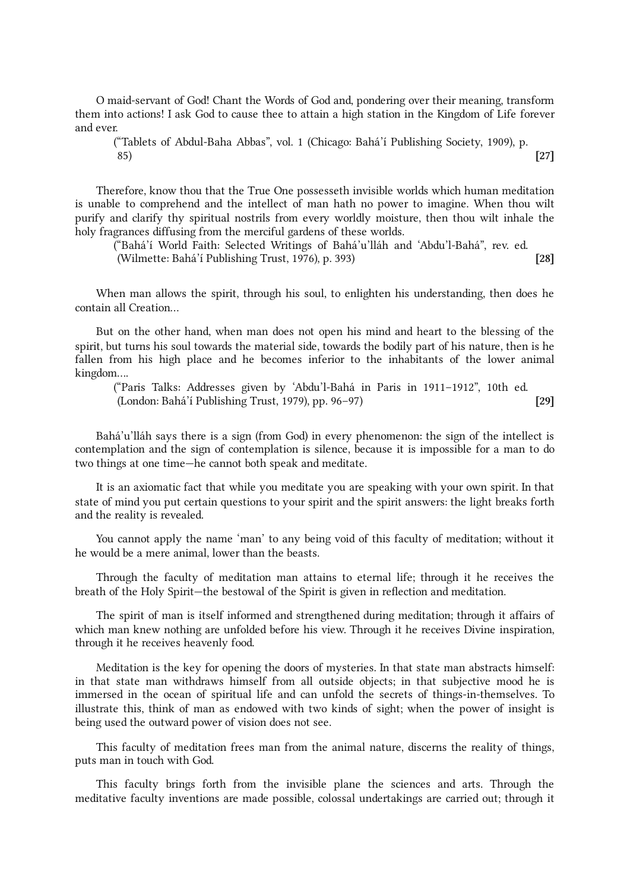O maid-servant of God! Chant the Words of God and, pondering over their meaning, transform them into actions! I ask God to cause thee to attain a high station in the Kingdom of Life forever and ever.

("Tablets of Abdul-Baha Abbas", vol. 1 (Chicago: Bahá'í Publishing Society, 1909), p.  $85)$  [27]

Therefore, know thou that the True One possesseth invisible worlds which human meditation is unable to comprehend and the intellect of man hath no power to imagine. When thou wilt purify and clarify thy spiritual nostrils from every worldly moisture, then thou wilt inhale the holy fragrances diffusing from the merciful gardens of these worlds.

("Bahá'í World Faith: Selected Writings of Bahá'u'lláh and 'Abdu'l-Bahá", rev. ed. (Wilmette: Bahá'í Publishing Trust, 1976), p. 393) [28]

When man allows the spirit, through his soul, to enlighten his understanding, then does he contain all Creation...

But on the other hand, when man does not open his mind and heart to the blessing of the spirit, but turns his soul towards the material side, towards the bodily part of his nature, then is he fallen from his high place and he becomes inferior to the inhabitants of the lower animal kingdom....

("Paris Talks: Addresses given by 'Abdu'l-Bahá in Paris in 1911–1912", 10th ed. (London: Bahá'í Publishing Trust, 1979), pp. 96–97) [29]

Bahá'u'lláh says there is a sign (from God) in every phenomenon: the sign of the intellect is contemplation and the sign of contemplation is silence, because it is impossible for a man to do two things at one time—he cannot both speak and meditate.

It is an axiomatic fact that while you meditate you are speaking with your own spirit. In that state of mind you put certain questions to your spirit and the spirit answers: the light breaks forth and the reality is revealed.

You cannot apply the name 'man' to any being void of this faculty of meditation; without it he would be a mere animal, lower than the beasts.

Through the faculty of meditation man attains to eternal life; through it he receives the breath of the Holy Spirit—the bestowal of the Spirit is given in reflection and meditation.

The spirit of man is itself informed and strengthened during meditation; through it affairs of which man knew nothing are unfolded before his view. Through it he receives Divine inspiration, through it he receives heavenly food.

Meditation is the key for opening the doors of mysteries. In that state man abstracts himself: in that state man withdraws himself from all outside objects; in that subjective mood he is immersed in the ocean of spiritual life and can unfold the secrets of things-in-themselves. To illustrate this, think of man as endowed with two kinds of sight; when the power of insight is being used the outward power of vision does not see.

This faculty of meditation frees man from the animal nature, discerns the reality of things, puts man in touch with God.

This faculty brings forth from the invisible plane the sciences and arts. Through the meditative faculty inventions are made possible, colossal undertakings are carried out; through it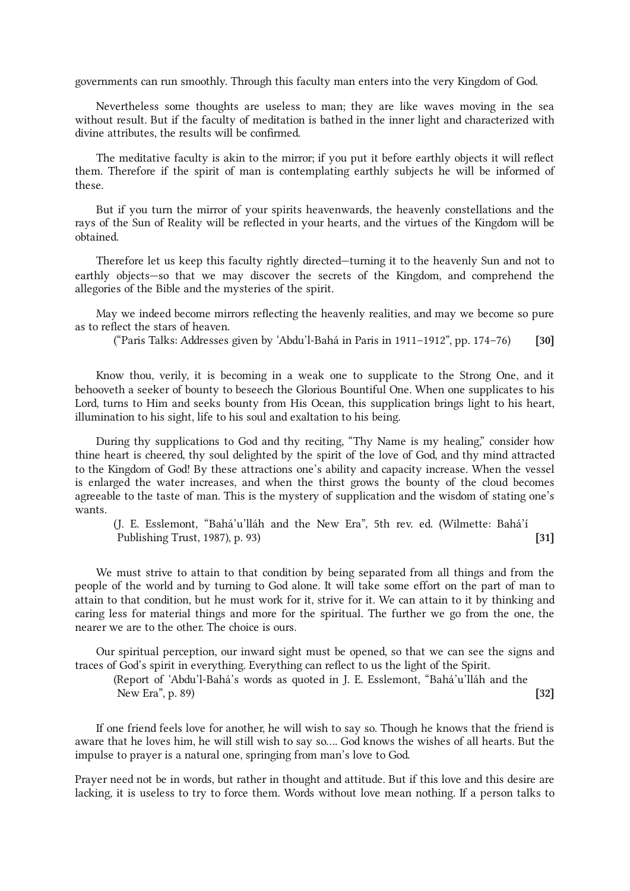governments can run smoothly. Through this faculty man enters into the very Kingdom of God.

Nevertheless some thoughts are useless to man; they are like waves moving in the sea without result. But if the faculty of meditation is bathed in the inner light and characterized with divine attributes, the results will be confirmed.

The meditative faculty is akin to the mirror; if you put it before earthly objects it will reflect them. Therefore if the spirit of man is contemplating earthly subjects he will be informed of these.

But if you turn the mirror of your spirits heavenwards, the heavenly constellations and the rays of the Sun of Reality will be reflected in your hearts, and the virtues of the Kingdom will be obtained.

Therefore let us keep this faculty rightly directed—turning it to the heavenly Sun and not to earthly objects—so that we may discover the secrets of the Kingdom, and comprehend the allegories of the Bible and the mysteries of the spirit.

May we indeed become mirrors reflecting the heavenly realities, and may we become so pure as to reflect the stars of heaven.

("Paris Talks: Addresses given by 'Abdu'l-Bahá in Paris in 1911–1912", pp. 174–76) [30]

Know thou, verily, it is becoming in a weak one to supplicate to the Strong One, and it behooveth a seeker of bounty to beseech the Glorious Bountiful One. When one supplicates to his Lord, turns to Him and seeks bounty from His Ocean, this supplication brings light to his heart, illumination to his sight, life to his soul and exaltation to his being.

During thy supplications to God and thy reciting, "Thy Name is my healing," consider how thine heart is cheered, thy soul delighted by the spirit of the love of God, and thy mind attracted to the Kingdom of God! By these attractions one's ability and capacity increase. When the vessel is enlarged the water increases, and when the thirst grows the bounty of the cloud becomes agreeable to the taste of man. This is the mystery of supplication and the wisdom of stating one's wants.

(J. E. Esslemont, "Bahá'u'lláh and the New Era", 5th rev. ed. (Wilmette: Bahá'í Publishing Trust, 1987), p. 93) [31]

We must strive to attain to that condition by being separated from all things and from the people of the world and by turning to God alone. It will take some effort on the part of man to attain to that condition, but he must work for it, strive for it. We can attain to it by thinking and caring less for material things and more for the spiritual. The further we go from the one, the nearer we are to the other. The choice is ours.

Our spiritual perception, our inward sight must be opened, so that we can see the signs and traces of God's spirit in everything. Everything can reflect to us the light of the Spirit.

(Report of 'Abdu'l-Bahá's words as quoted in J. E. Esslemont, "Bahá'u'lláh and the New Era", p. 89) [32]

If one friend feels love for another, he will wish to say so. Though he knows that the friend is aware that he loves him, he will still wish to say so.... God knows the wishes of all hearts. But the impulse to prayer is a natural one, springing from man's love to God.

Prayer need not be in words, but rather in thought and attitude. But if this love and this desire are lacking, it is useless to try to force them. Words without love mean nothing. If a person talks to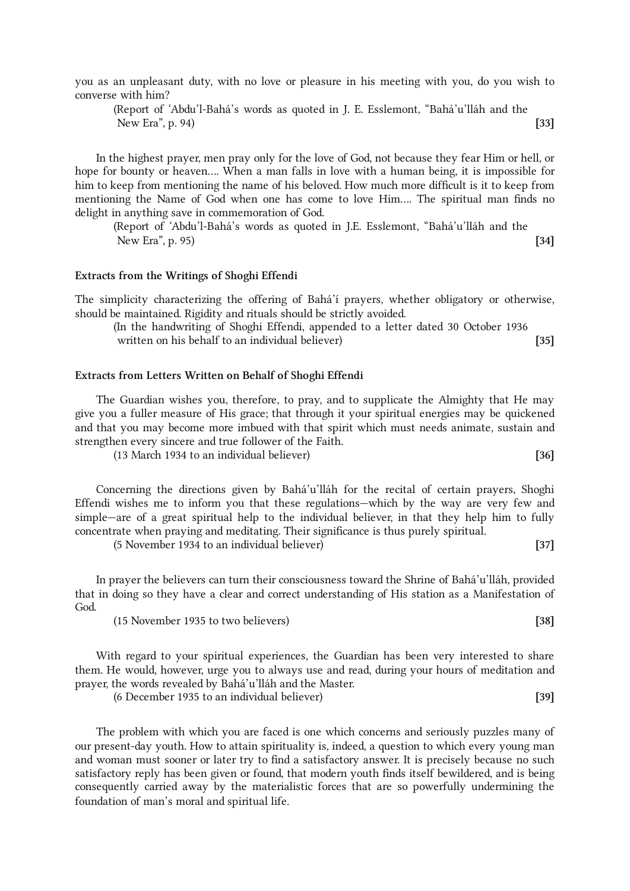you as an unpleasant duty, with no love or pleasure in his meeting with you, do you wish to converse with him?

(Report of 'Abdu'l-Bahá's words as quoted in J. E. Esslemont, "Bahá'u'lláh and the New Era", p. 94) [33]

In the highest prayer, men pray only for the love of God, not because they fear Him or hell, or hope for bounty or heaven.... When a man falls in love with a human being, it is impossible for him to keep from mentioning the name of his beloved. How much more difficult is it to keep from mentioning the Name of God when one has come to love Him.... The spiritual man finds no delight in anything save in commemoration of God.

(Report of 'Abdu'l-Bahá's words as quoted in J.E. Esslemont, "Bahá'u'lláh and the New Era", p. 95)  $[34]$ 

# Extracts from the Writings of Shoghi Effendi

The simplicity characterizing the offering of Bahá'í prayers, whether obligatory or otherwise, should be maintained. Rigidity and rituals should be strictly avoided.

(In the handwriting of Shoghi Effendi, appended to a letter dated 30 October 1936 written on his behalf to an individual believer) [35]

# Extracts from Letters Written on Behalf of Shoghi Effendi

The Guardian wishes you, therefore, to pray, and to supplicate the Almighty that He may give you a fuller measure of His grace; that through it your spiritual energies may be quickened and that you may become more imbued with that spirit which must needs animate, sustain and strengthen every sincere and true follower of the Faith.

(13 March 1934 to an individual believer) [36]

Concerning the directions given by Bahá'u'lláh for the recital of certain prayers, Shoghi Effendi wishes me to inform you that these regulations—which by the way are very few and simple—are of a great spiritual help to the individual believer, in that they help him to fully concentrate when praying and meditating. Their significance is thus purely spiritual.

(5 November 1934 to an individual believer) [37]

In prayer the believers can turn their consciousness toward the Shrine of Bahá'u'lláh, provided that in doing so they have a clear and correct understanding of His station as a Manifestation of God.

(15 November 1935 to two believers) [38]

With regard to your spiritual experiences, the Guardian has been very interested to share them. He would, however, urge you to always use and read, during your hours of meditation and prayer, the words revealed by Bahá'u'lláh and the Master.

(6 December 1935 to an individual believer) [39]

The problem with which you are faced is one which concerns and seriously puzzles many of our present-day youth. How to attain spirituality is, indeed, a question to which every young man and woman must sooner or later try to find a satisfactory answer. It is precisely because no such satisfactory reply has been given or found, that modern youth finds itself bewildered, and is being consequently carried away by the materialistic forces that are so powerfully undermining the foundation of man's moral and spiritual life.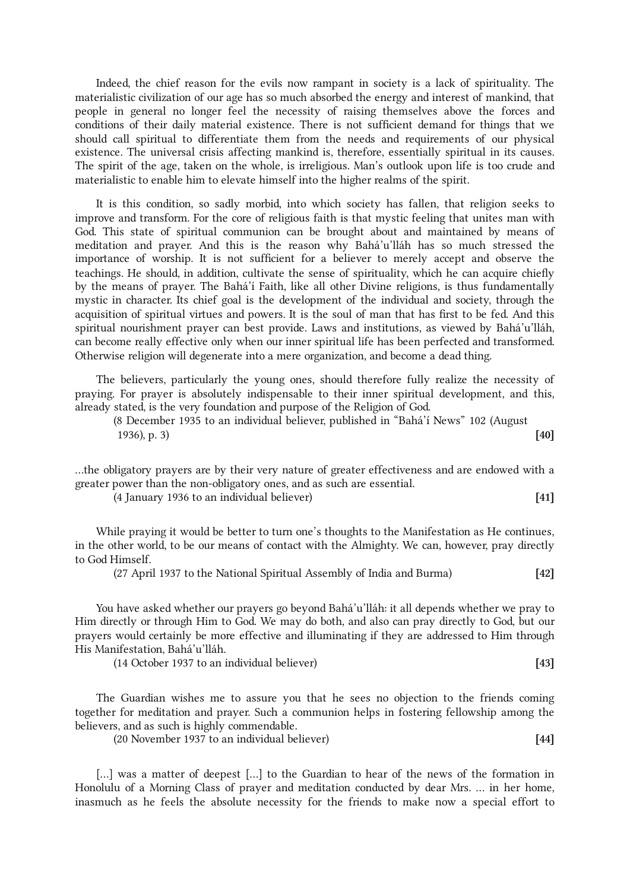Indeed, the chief reason for the evils now rampant in society is a lack of spirituality. The materialistic civilization of our age has so much absorbed the energy and interest of mankind, that people in general no longer feel the necessity of raising themselves above the forces and conditions of their daily material existence. There is not sufficient demand for things that we should call spiritual to differentiate them from the needs and requirements of our physical existence. The universal crisis affecting mankind is, therefore, essentially spiritual in its causes. The spirit of the age, taken on the whole, is irreligious. Man's outlook upon life is too crude and materialistic to enable him to elevate himself into the higher realms of the spirit.

It is this condition, so sadly morbid, into which society has fallen, that religion seeks to improve and transform. For the core of religious faith is that mystic feeling that unites man with God. This state of spiritual communion can be brought about and maintained by means of meditation and prayer. And this is the reason why Bahá'u'lláh has so much stressed the importance of worship. It is not sufficient for a believer to merely accept and observe the teachings. He should, in addition, cultivate the sense of spirituality, which he can acquire chiefly by the means of prayer. The Bahá'í Faith, like all other Divine religions, is thus fundamentally mystic in character. Its chief goal is the development of the individual and society, through the acquisition of spiritual virtues and powers. It is the soul of man that has first to be fed. And this spiritual nourishment prayer can best provide. Laws and institutions, as viewed by Bahá'u'lláh, can become really effective only when our inner spiritual life has been perfected and transformed. Otherwise religion will degenerate into a mere organization, and become a dead thing.

The believers, particularly the young ones, should therefore fully realize the necessity of praying. For prayer is absolutely indispensable to their inner spiritual development, and this, already stated, is the very foundation and purpose of the Religion of God.

(8 December 1935 to an individual believer, published in "Bahá'í News" 102 (August 1936), p. 3) [40]

...the obligatory prayers are by their very nature of greater effectiveness and are endowed with a greater power than the non-obligatory ones, and as such are essential.

(4 January 1936 to an individual believer) [41]

While praying it would be better to turn one's thoughts to the Manifestation as He continues, in the other world, to be our means of contact with the Almighty. We can, however, pray directly to God Himself.

(27 April 1937 to the National Spiritual Assembly of India and Burma) [42]

You have asked whether our prayers go beyond Bahá'u'lláh: it all depends whether we pray to Him directly or through Him to God. We may do both, and also can pray directly to God, but our prayers would certainly be more effective and illuminating if they are addressed to Him through His Manifestation, Bahá'u'lláh.

| (14 October 1937 to an individual believer) |  |
|---------------------------------------------|--|
|---------------------------------------------|--|

The Guardian wishes me to assure you that he sees no objection to the friends coming together for meditation and prayer. Such a communion helps in fostering fellowship among the believers, and as such is highly commendable.

 $(20$  November 1937 to an individual believer)  $[44]$ 

[...] was a matter of deepest [...] to the Guardian to hear of the news of the formation in Honolulu of a Morning Class of prayer and meditation conducted by dear Mrs. ... in her home, inasmuch as he feels the absolute necessity for the friends to make now a special effort to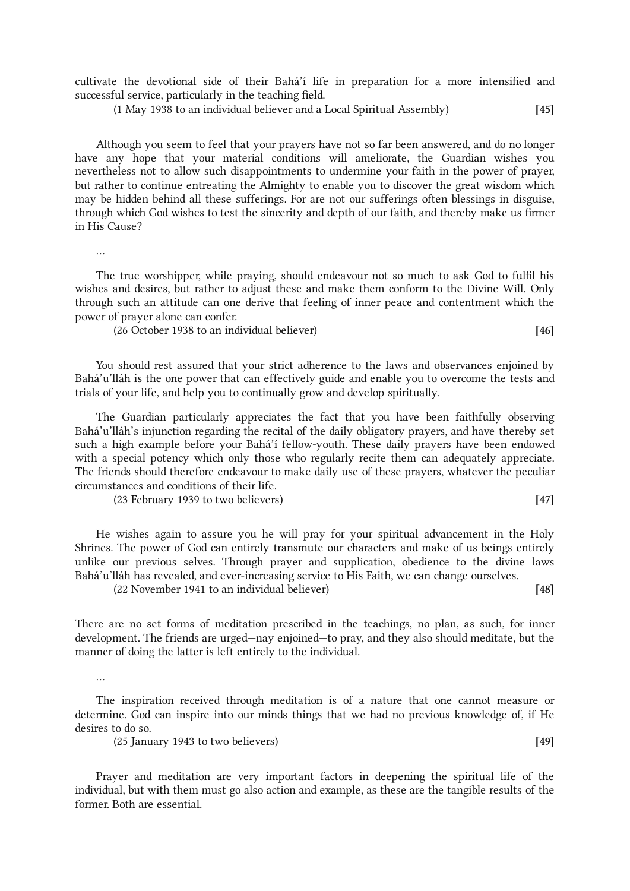cultivate the devotional side of their Bahá'í life in preparation for a more intensified and successful service, particularly in the teaching field.

(1 May 1938 to an individual believer and a Local Spiritual Assembly) [45]

Although you seem to feel that your prayers have not so far been answered, and do no longer have any hope that your material conditions will ameliorate, the Guardian wishes you nevertheless not to allow such disappointments to undermine your faith in the power of prayer, but rather to continue entreating the Almighty to enable you to discover the great wisdom which may be hidden behind all these sufferings. For are not our sufferings often blessings in disguise, through which God wishes to test the sincerity and depth of our faith, and thereby make us firmer in His Cause?

…

The true worshipper, while praying, should endeavour not so much to ask God to fulfil his wishes and desires, but rather to adjust these and make them conform to the Divine Will. Only through such an attitude can one derive that feeling of inner peace and contentment which the power of prayer alone can confer.

(26 October 1938 to an individual believer) [46]

You should rest assured that your strict adherence to the laws and observances enjoined by Bahá'u'lláh is the one power that can effectively guide and enable you to overcome the tests and trials of your life, and help you to continually grow and develop spiritually.

The Guardian particularly appreciates the fact that you have been faithfully observing Bahá'u'lláh's injunction regarding the recital of the daily obligatory prayers, and have thereby set such a high example before your Bahá'í fellow-youth. These daily prayers have been endowed with a special potency which only those who regularly recite them can adequately appreciate. The friends should therefore endeavour to make daily use of these prayers, whatever the peculiar circumstances and conditions of their life.

(23 February 1939 to two believers) [47]

He wishes again to assure you he will pray for your spiritual advancement in the Holy Shrines. The power of God can entirely transmute our characters and make of us beings entirely unlike our previous selves. Through prayer and supplication, obedience to the divine laws Bahá'u'lláh has revealed, and ever-increasing service to His Faith, we can change ourselves.

(22 November 1941 to an individual believer) [48]

There are no set forms of meditation prescribed in the teachings, no plan, as such, for inner development. The friends are urged—nay enjoined—to pray, and they also should meditate, but the manner of doing the latter is left entirely to the individual.

…

The inspiration received through meditation is of a nature that one cannot measure or determine. God can inspire into our minds things that we had no previous knowledge of, if He desires to do so.

(25 January 1943 to two believers) [49]

Prayer and meditation are very important factors in deepening the spiritual life of the individual, but with them must go also action and example, as these are the tangible results of the former. Both are essential.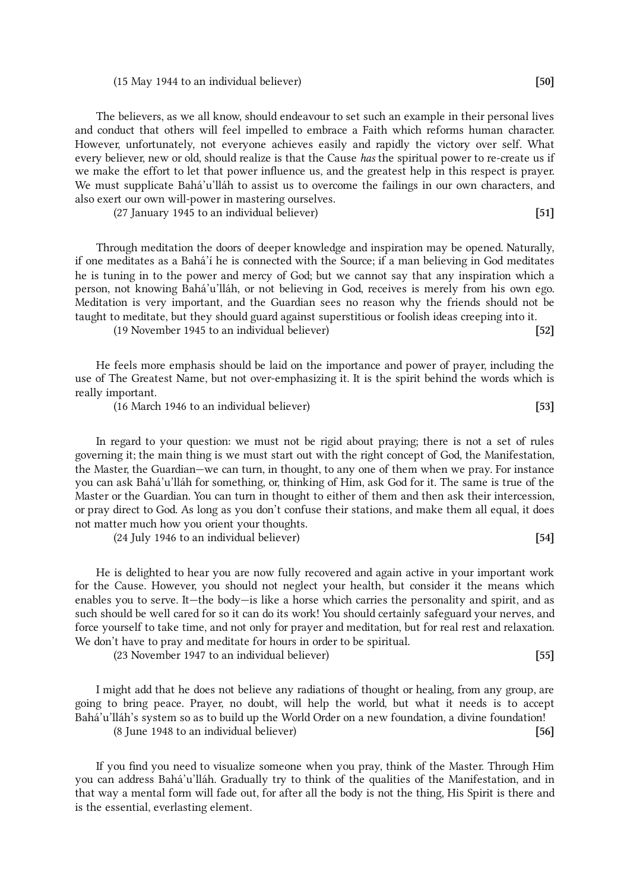(15 May 1944 to an individual believer) [50]

The believers, as we all know, should endeavour to set such an example in their personal lives and conduct that others will feel impelled to embrace a Faith which reforms human character. However, unfortunately, not everyone achieves easily and rapidly the victory over self. What every believer, new or old, should realize is that the Cause has the spiritual power to re-create us if we make the effort to let that power influence us, and the greatest help in this respect is prayer. We must supplicate Bahá'u'lláh to assist us to overcome the failings in our own characters, and also exert our own will-power in mastering ourselves.

(27 January 1945 to an individual believer) [51]

Through meditation the doors of deeper knowledge and inspiration may be opened. Naturally, if one meditates as a Bahá'í he is connected with the Source; if a man believing in God meditates he is tuning in to the power and mercy of God; but we cannot say that any inspiration which a person, not knowing Bahá'u'lláh, or not believing in God, receives is merely from his own ego. Meditation is very important, and the Guardian sees no reason why the friends should not be taught to meditate, but they should guard against superstitious or foolish ideas creeping into it.

(19 November 1945 to an individual believer) [52]

He feels more emphasis should be laid on the importance and power of prayer, including the use of The Greatest Name, but not over-emphasizing it. It is the spirit behind the words which is really important.

(16 March 1946 to an individual believer) [53]

In regard to your question: we must not be rigid about praying; there is not a set of rules governing it; the main thing is we must start out with the right concept of God, the Manifestation, the Master, the Guardian—we can turn, in thought, to any one of them when we pray. For instance you can ask Bahá'u'lláh for something, or, thinking of Him, ask God for it. The same is true of the Master or the Guardian. You can turn in thought to either of them and then ask their intercession, or pray direct to God. As long as you don't confuse their stations, and make them all equal, it does not matter much how you orient your thoughts.

(24 July 1946 to an individual believer) [54]

He is delighted to hear you are now fully recovered and again active in your important work for the Cause. However, you should not neglect your health, but consider it the means which enables you to serve. It—the body—is like a horse which carries the personality and spirit, and as such should be well cared for so it can do its work! You should certainly safeguard your nerves, and force yourself to take time, and not only for prayer and meditation, but for real rest and relaxation. We don't have to pray and meditate for hours in order to be spiritual.

(23 November 1947 to an individual believer) [55]

I might add that he does not believe any radiations of thought or healing, from any group, are going to bring peace. Prayer, no doubt, will help the world, but what it needs is to accept Bahá'u'lláh's system so as to build up the World Order on a new foundation, a divine foundation! (8 June 1948 to an individual believer) [56]

If you find you need to visualize someone when you pray, think of the Master. Through Him you can address Bahá'u'lláh. Gradually try to think of the qualities of the Manifestation, and in that way a mental form will fade out, for after all the body is not the thing, His Spirit is there and is the essential, everlasting element.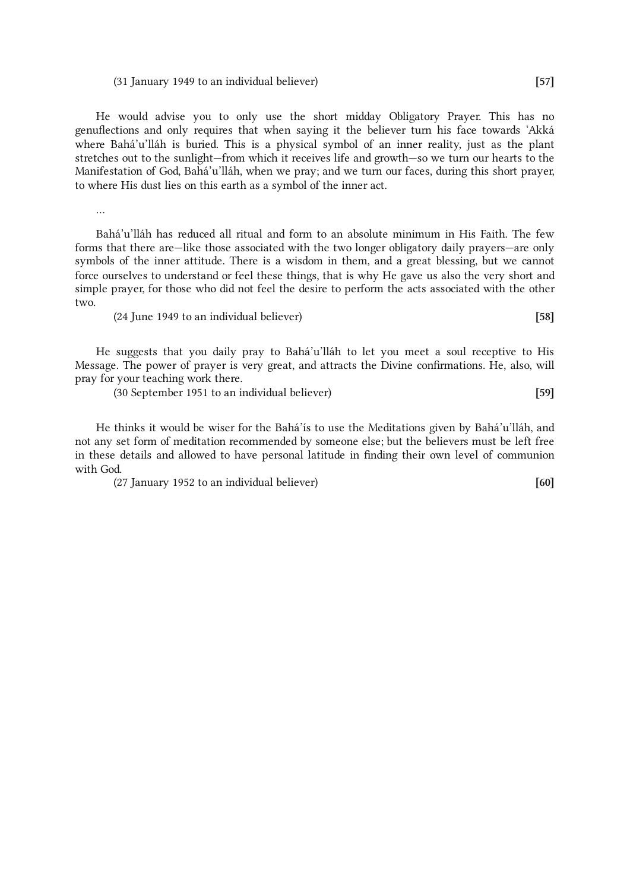## (31 January 1949 to an individual believer) [57]

He would advise you to only use the short midday Obligatory Prayer. This has no genuflections and only requires that when saying it the believer turn his face towards 'Akká where Bahá'u'lláh is buried. This is a physical symbol of an inner reality, just as the plant stretches out to the sunlight—from which it receives life and growth—so we turn our hearts to the Manifestation of God, Bahá'u'lláh, when we pray; and we turn our faces, during this short prayer, to where His dust lies on this earth as a symbol of the inner act.

…

Bahá'u'lláh has reduced all ritual and form to an absolute minimum in His Faith. The few forms that there are—like those associated with the two longer obligatory daily prayers—are only symbols of the inner attitude. There is a wisdom in them, and a great blessing, but we cannot force ourselves to understand or feel these things, that is why He gave us also the very short and simple prayer, for those who did not feel the desire to perform the acts associated with the other two.

(24 June 1949 to an individual believer) [58]

He suggests that you daily pray to Bahá'u'lláh to let you meet a soul receptive to His Message. The power of prayer is very great, and attracts the Divine confirmations. He, also, will pray for your teaching work there.

(30 September 1951 to an individual believer) [59]

He thinks it would be wiser for the Bahá'ís to use the Meditations given by Bahá'u'lláh, and not any set form of meditation recommended by someone else; but the believers must be left free in these details and allowed to have personal latitude in finding their own level of communion with God.

(27 January 1952 to an individual believer) [60]